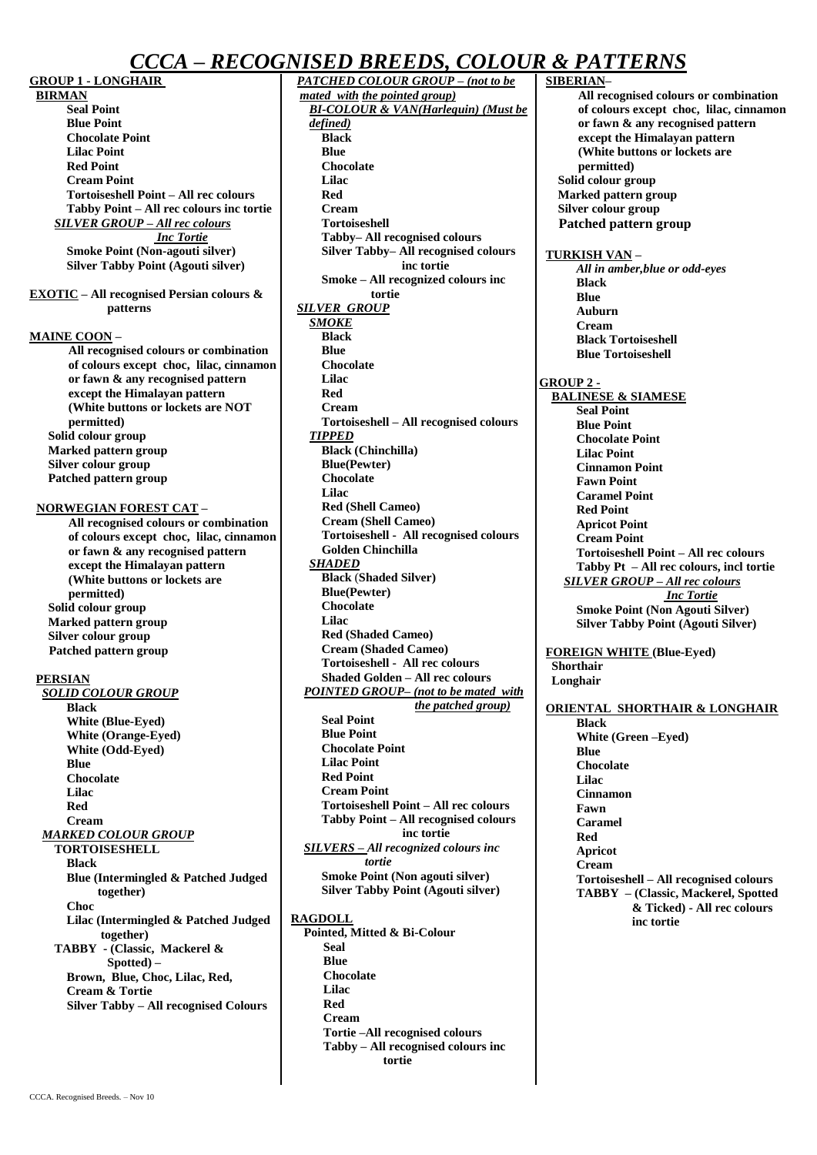# *CCCA* **–** *RECOGNISED BREEDS, COLOUR & PATTERNS*

**GROUP 1 - LONGHAIR** 

**BIRMAN Seal Point Blue Point Chocolate Point Lilac Point Red Point Cream Point Tortoiseshell Point – All rec colours Tabby Point – All rec colours inc tortie** *SILVER GROUP – All rec colours Inc Tortie* **Smoke Point (Non-agouti silver) Silver Tabby Point (Agouti silver)**

**EXOTIC – All recognised Persian colours & patterns**

#### **MAINE COON –**

**All recognised colours or combination of colours except choc, lilac, cinnamon or fawn & any recognised pattern except the Himalayan pattern (White buttons or lockets are NOT permitted) Solid colour group Marked pattern group Silver colour group Patched pattern group** 

#### **NORWEGIAN FOREST CAT –**

**All recognised colours or combination of colours except choc, lilac, cinnamon or fawn & any recognised pattern except the Himalayan pattern (White buttons or lockets are permitted) Solid colour group Marked pattern group Silver colour group Patched pattern group**

#### **PERSIAN**

*SOLID COLOUR GROUP* **Black White (Blue-Eyed) White (Orange-Eyed) White (Odd-Eyed) Blue Chocolate Lilac Red Cream** *MARKED COLOUR GROUP* **TORTOISESHELL Black Blue (Intermingled & Patched Judged together) Choc Lilac (Intermingled & Patched Judged together) TABBY - (Classic, Mackerel & Spotted) – Brown, Blue, Choc, Lilac, Red, Cream & Tortie Silver Tabby – All recognised Colours**

*PATCHED COLOUR GROUP – (not to be mated with the pointed group) BI-COLOUR & VAN(Harlequin) (Must be defined)* **Black Blue Chocolate Lilac Red Cream Tortoiseshell Tabby– All recognised colours Silver Tabby– All recognised colours inc tortie Smoke – All recognized colours inc tortie** *SILVER GROUP SMOKE* **Black Blue Chocolate Lilac Red Cream Tortoiseshell – All recognised colours** *TIPPED* **Black (Chinchilla) Blue(Pewter) Chocolate Lilac Red (Shell Cameo) Cream (Shell Cameo) Tortoiseshell - All recognised colours Golden Chinchilla** *SHADED* **Black** (**Shaded Silver) Blue(Pewter) Chocolate Lilac Red (Shaded Cameo) Cream (Shaded Cameo) Tortoiseshell - All rec colours Shaded Golden – All rec colours** *POINTED GROUP– (not to be mated with the patched group)* **Seal Point Blue Point Chocolate Point Lilac Point Red Point Cream Point Tortoiseshell Point – All rec colours Tabby Point – All recognised colours inc tortie** *SILVERS – All recognized colours inc tortie* **Smoke Point (Non agouti silver) Silver Tabby Point (Agouti silver) RAGDOLL Pointed, Mitted & Bi-Colour Seal Blue Chocolate Lilac**

> **Red Cream**

**Tortie –All recognised colours Tabby – All recognised colours inc tortie**

## **SIBERIAN– All recognised colours or combination of colours except choc, lilac, cinnamon or fawn & any recognised pattern except the Himalayan pattern (White buttons or lockets are permitted) Solid colour group Marked pattern group Silver colour group Patched pattern group TURKISH VAN –** *All in amber,blue or odd-eyes* **Black Blue Auburn Cream Black Tortoiseshell Blue Tortoiseshell GROUP 2 - BALINESE & SIAMESE Seal Point Blue Point Chocolate Point Lilac Point Cinnamon Point Fawn Point Caramel Point Red Point Apricot Point Cream Point Tortoiseshell Point – All rec colours Tabby Pt – All rec colours, incl tortie** *SILVER GROUP – All rec colours Inc Tortie* **Smoke Point (Non Agouti Silver) Silver Tabby Point (Agouti Silver) FOREIGN WHITE (Blue-Eyed) Shorthair Longhair ORIENTAL SHORTHAIR & LONGHAIR Black White (Green –Eyed) Blue Chocolate Lilac Cinnamon Fawn Caramel Red Apricot Cream Tortoiseshell – All recognised colours TABBY – (Classic, Mackerel, Spotted & Ticked) - All rec colours inc tortie**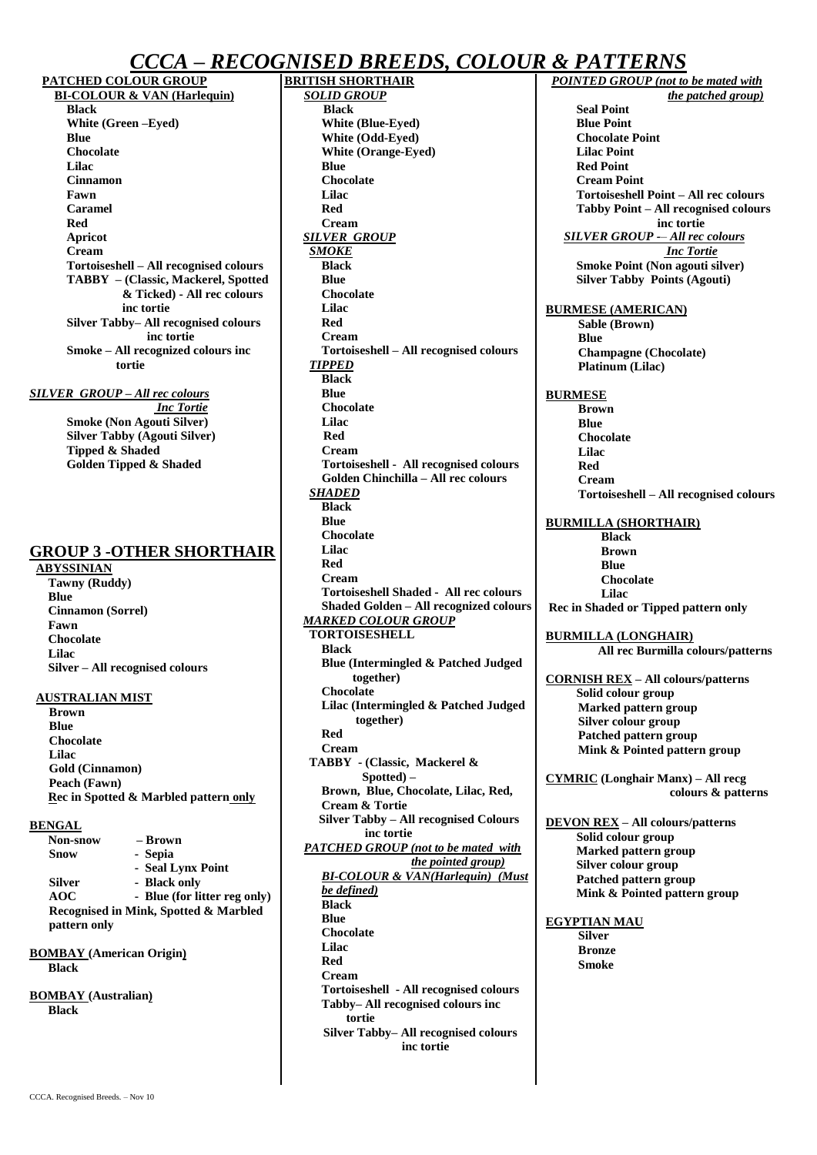# *CCCA* **–** *RECOGNISED BREEDS, COLOUR & PATTERNS*

**PATCHED COLOUR GROUP BI-COLOUR & VAN (Harlequin) Black White (Green –Eyed) Blue Chocolate Lilac Cinnamon Fawn Caramel Red Apricot Cream Tortoiseshell – All recognised colours TABBY – (Classic, Mackerel, Spotted & Ticked) - All rec colours inc tortie Silver Tabby– All recognised colours inc tortie Smoke – All recognized colours inc tortie**

*SILVER GROUP – All rec colours Inc Tortie* **Smoke (Non Agouti Silver) Silver Tabby (Agouti Silver) Tipped & Shaded Golden Tipped & Shaded** 

## **GROUP 3 -OTHER SHORTHAIR**

**ABYSSINIAN Tawny (Ruddy) Blue Cinnamon (Sorrel) Fawn Chocolate Lilac** 

**Silver – All recognised colours**

#### **AUSTRALIAN MIST**

**Brown Blue Chocolate Lilac Gold (Cinnamon) Peach (Fawn) Rec in Spotted & Marbled pattern only**

#### **BENGAL**

| Non-snow     | – Brown                               |
|--------------|---------------------------------------|
| Snow         | - Sepia                               |
|              | - Seal Lynx Point                     |
| Silver       | - Black only                          |
| AOC          | - Blue (for litter reg only)          |
|              | Recognised in Mink, Spotted & Marbled |
| pattern only |                                       |

**BOMBAY (American Origin) Black**

**BOMBAY (Australian) Black**

**BRITISH SHORTHAIR** *SOLID GROUP* **Black White (Blue-Eyed) White (Odd-Eyed) White (Orange-Eyed) Blue Chocolate Lilac Red Cream** *SILVER GROUP SMOKE* **Black Blue Chocolate Lilac Red Cream Tortoiseshell – All recognised colours** *TIPPED* **Black Blue Chocolate Lilac Red Cream Tortoiseshell - All recognised colours Golden Chinchilla – All rec colours** *SHADED* **Black Blue Chocolate Lilac Red Cream Tortoiseshell Shaded - All rec colours Shaded Golden – All recognized colours** *MARKED COLOUR GROUP* **TORTOISESHELL Black Blue (Intermingled & Patched Judged together) Chocolate Lilac (Intermingled & Patched Judged together) Red Cream TABBY - (Classic, Mackerel & Spotted) – Brown, Blue, Chocolate, Lilac, Red, Cream & Tortie Silver Tabby – All recognised Colours inc tortie** *PATCHED GROUP (not to be mated with the pointed group) BI-COLOUR & VAN(Harlequin) (Must be defined)* **Black Blue Chocolate Lilac Red Cream Tortoiseshell - All recognised colours Tabby– All recognised colours inc tortie Silver Tabby– All recognised colours**

**inc tortie**

*POINTED GROUP (not to be mated with the patched group)* **Seal Point Blue Point Chocolate Point Lilac Point Red Point Cream Point Tortoiseshell Point – All rec colours Tabby Point – All recognised colours inc tortie** *SILVER GROUP -– All rec colours Inc Tortie* **Smoke Point (Non agouti silver) Silver Tabby Points (Agouti) BURMESE (AMERICAN) Sable (Brown) Blue Champagne (Chocolate) Platinum (Lilac) BURMESE Brown Blue Chocolate Lilac Red Cream Tortoiseshell – All recognised colours BURMILLA (SHORTHAIR) Black Brown Blue Chocolate Lilac Rec in Shaded or Tipped pattern only BURMILLA (LONGHAIR) All rec Burmilla colours/patterns CORNISH REX – All colours/patterns Solid colour group Marked pattern group Silver colour group Patched pattern group**  **Mink & Pointed pattern group CYMRIC (Longhair Manx) – All recg colours & patterns DEVON REX – All colours/patterns Solid colour group Marked pattern group Silver colour group Patched pattern group**  **Mink & Pointed pattern group EGYPTIAN MAU Silver Bronze Smoke**